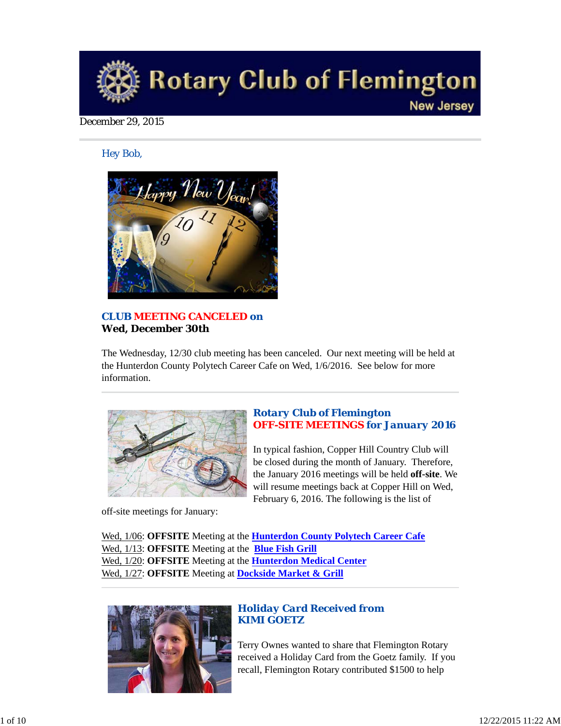

#### December 29, 2015

#### *Hey Bob,*



## *CLUB MEETING CANCELED on* **Wed, December 30th**

The Wednesday, 12/30 club meeting has been canceled. Our next meeting will be held at the Hunterdon County Polytech Career Cafe on Wed, 1/6/2016. See below for more information.



off-site meetings for January:

## *Rotary Club of Flemington OFF-SITE MEETINGS for January 2016*

In typical fashion, Copper Hill Country Club will be closed during the month of January. Therefore, the January 2016 meetings will be held **off-site**. We will resume meetings back at Copper Hill on Wed, February 6, 2016. The following is the list of

Wed, 1/06: **OFFSITE** Meeting at the **Hunterdon County Polytech Career Cafe** Wed, 1/13: **OFFSITE** Meeting at the **Blue Fish Grill** Wed, 1/20: **OFFSITE** Meeting at the **Hunterdon Medical Center** Wed, 1/27: **OFFSITE** Meeting at **Dockside Market & Grill**



## *Holiday Card Received from KIMI GOETZ*

Terry Ownes wanted to share that Flemington Rotary received a Holiday Card from the Goetz family. If you recall, Flemington Rotary contributed \$1500 to help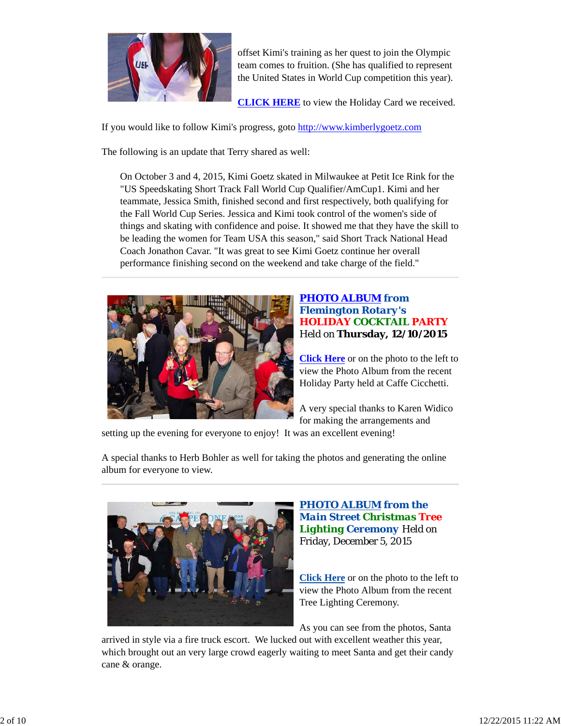

offset Kimi's training as her quest to join the Olympic team comes to fruition. (She has qualified to represent the United States in World Cup competition this year).

**CLICK HERE** to view the Holiday Card we received.

If you would like to follow Kimi's progress, goto http://www.kimberlygoetz.com

The following is an update that Terry shared as well:

On October 3 and 4, 2015, Kimi Goetz skated in Milwaukee at Petit Ice Rink for the "US Speedskating Short Track Fall World Cup Qualifier/AmCup1. Kimi and her teammate, Jessica Smith, finished second and first respectively, both qualifying for the Fall World Cup Series. Jessica and Kimi took control of the women's side of things and skating with confidence and poise. It showed me that they have the skill to be leading the women for Team USA this season," said Short Track National Head Coach Jonathon Cavar. "It was great to see Kimi Goetz continue her overall performance finishing second on the weekend and take charge of the field."



## *PHOTO ALBUM from Flemington Rotary's HOLIDAY COCKTAIL PARTY* Held on **Thursday, 12/10/2015**

**Click Here** or on the photo to the left to view the Photo Album from the recent Holiday Party held at Caffe Cicchetti.

A very special thanks to Karen Widico for making the arrangements and

setting up the evening for everyone to enjoy! It was an excellent evening!

A special thanks to Herb Bohler as well for taking the photos and generating the online album for everyone to view.



#### *PHOTO ALBUM from the Main Street Christmas Tree Lighting Ceremony* Held on Friday, December 5, 2015

**Click Here** or on the photo to the left to view the Photo Album from the recent Tree Lighting Ceremony.

As you can see from the photos, Santa

arrived in style via a fire truck escort. We lucked out with excellent weather this year, which brought out an very large crowd eagerly waiting to meet Santa and get their candy cane & orange.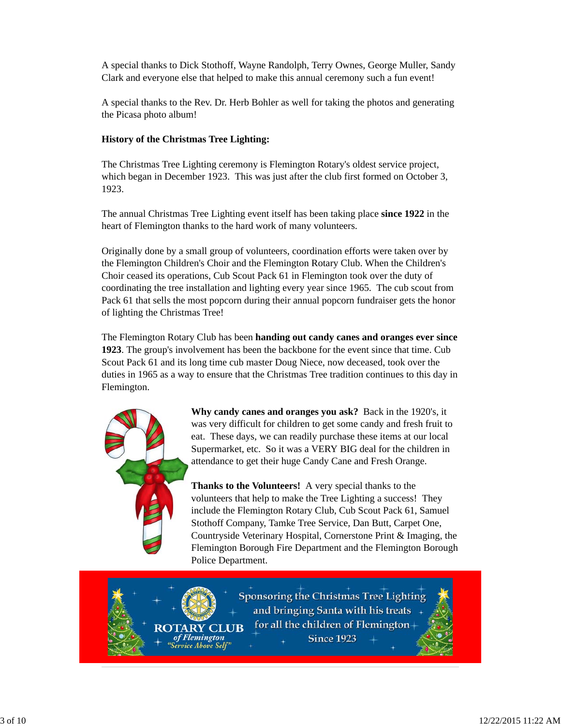A special thanks to Dick Stothoff, Wayne Randolph, Terry Ownes, George Muller, Sandy Clark and everyone else that helped to make this annual ceremony such a fun event!

A special thanks to the Rev. Dr. Herb Bohler as well for taking the photos and generating the Picasa photo album!

## **History of the Christmas Tree Lighting:**

The Christmas Tree Lighting ceremony is Flemington Rotary's oldest service project, which began in December 1923. This was just after the club first formed on October 3, 1923.

The annual Christmas Tree Lighting event itself has been taking place **since 1922** in the heart of Flemington thanks to the hard work of many volunteers.

Originally done by a small group of volunteers, coordination efforts were taken over by the Flemington Children's Choir and the Flemington Rotary Club. When the Children's Choir ceased its operations, Cub Scout Pack 61 in Flemington took over the duty of coordinating the tree installation and lighting every year since 1965. The cub scout from Pack 61 that sells the most popcorn during their annual popcorn fundraiser gets the honor of lighting the Christmas Tree!

The Flemington Rotary Club has been **handing out candy canes and oranges ever since 1923**. The group's involvement has been the backbone for the event since that time. Cub Scout Pack 61 and its long time cub master Doug Niece, now deceased, took over the duties in 1965 as a way to ensure that the Christmas Tree tradition continues to this day in Flemington.



**ROTARY** 

of Flemington

"Service Above Self"

**Why candy canes and oranges you ask?** Back in the 1920's, it was very difficult for children to get some candy and fresh fruit to eat. These days, we can readily purchase these items at our local Supermarket, etc. So it was a VERY BIG deal for the children in attendance to get their huge Candy Cane and Fresh Orange.

**Thanks to the Volunteers!** A very special thanks to the volunteers that help to make the Tree Lighting a success! They include the Flemington Rotary Club, Cub Scout Pack 61, Samuel Stothoff Company, Tamke Tree Service, Dan Butt, Carpet One, Countryside Veterinary Hospital, Cornerstone Print & Imaging, the Flemington Borough Fire Department and the Flemington Borough Police Department.

Sponsoring the Christmas Tree Lighting and bringing Santa with his treats for all the children of Flemington-**CLUB Since 1923**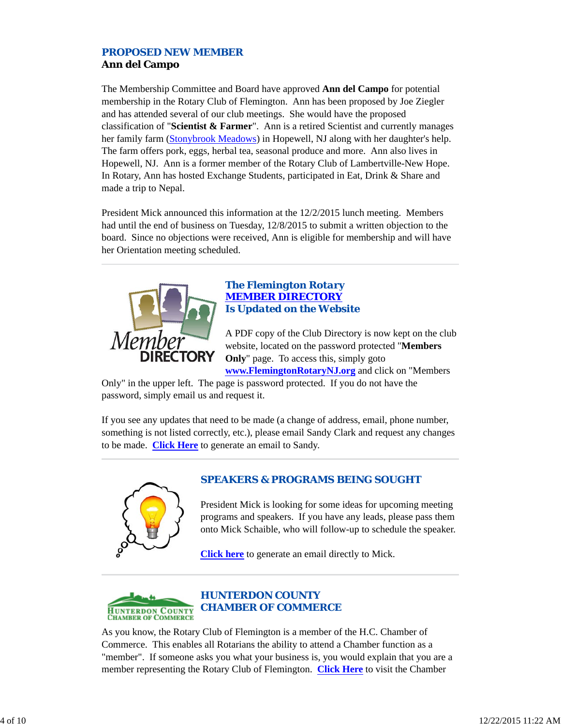## *PROPOSED NEW MEMBER* **Ann del Campo**

The Membership Committee and Board have approved **Ann del Campo** for potential membership in the Rotary Club of Flemington. Ann has been proposed by Joe Ziegler and has attended several of our club meetings. She would have the proposed classification of "**Scientist & Farmer**". Ann is a retired Scientist and currently manages her family farm (Stonybrook Meadows) in Hopewell, NJ along with her daughter's help. The farm offers pork, eggs, herbal tea, seasonal produce and more. Ann also lives in Hopewell, NJ. Ann is a former member of the Rotary Club of Lambertville-New Hope. In Rotary, Ann has hosted Exchange Students, participated in Eat, Drink & Share and made a trip to Nepal.

President Mick announced this information at the 12/2/2015 lunch meeting. Members had until the end of business on Tuesday, 12/8/2015 to submit a written objection to the board. Since no objections were received, Ann is eligible for membership and will have her Orientation meeting scheduled.



#### *The Flemington Rotary MEMBER DIRECTORY Is Updated on the Website*

A PDF copy of the Club Directory is now kept on the club website, located on the password protected "**Members Only**" page. To access this, simply goto **www.FlemingtonRotaryNJ.org** and click on "Members

Only" in the upper left. The page is password protected. If you do not have the password, simply email us and request it.

If you see any updates that need to be made (a change of address, email, phone number, something is not listed correctly, etc.), please email Sandy Clark and request any changes to be made. **Click Here** to generate an email to Sandy.



## *SPEAKERS & PROGRAMS BEING SOUGHT*

President Mick is looking for some ideas for upcoming meeting programs and speakers. If you have any leads, please pass them onto Mick Schaible, who will follow-up to schedule the speaker.

**Click here** to generate an email directly to Mick.



As you know, the Rotary Club of Flemington is a member of the H.C. Chamber of Commerce. This enables all Rotarians the ability to attend a Chamber function as a "member". If someone asks you what your business is, you would explain that you are a member representing the Rotary Club of Flemington. **Click Here** to visit the Chamber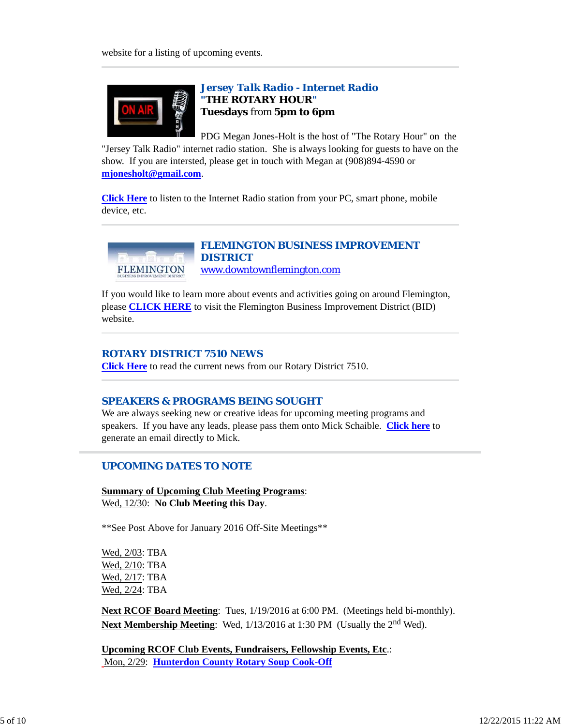

## *Jersey Talk Radio - Internet Radio "THE ROTARY HOUR"* **Tuesdays** from **5pm to 6pm**

PDG Megan Jones-Holt is the host of "The Rotary Hour" on the "Jersey Talk Radio" internet radio station. She is always looking for guests to have on the show. If you are intersted, please get in touch with Megan at (908)894-4590 or **mjonesholt@gmail.com**.

**Click Here** to listen to the Internet Radio station from your PC, smart phone, mobile device, etc.



## *FLEMINGTON BUSINESS IMPROVEMENT DISTRICT* www.downtownflemington.com

If you would like to learn more about events and activities going on around Flemington, please **CLICK HERE** to visit the Flemington Business Improvement District (BID) website.

#### *ROTARY DISTRICT 7510 NEWS*

**Click Here** to read the current news from our Rotary District 7510.

#### *SPEAKERS & PROGRAMS BEING SOUGHT*

We are always seeking new or creative ideas for upcoming meeting programs and speakers. If you have any leads, please pass them onto Mick Schaible. **Click here** to generate an email directly to Mick.

## *UPCOMING DATES TO NOTE*

**Summary of Upcoming Club Meeting Programs**: Wed, 12/30: **No Club Meeting this Day**.

\*\*See Post Above for January 2016 Off-Site Meetings\*\*

Wed, 2/03: TBA Wed, 2/10: TBA Wed, 2/17: TBA Wed, 2/24: TBA

**Next RCOF Board Meeting**: Tues, 1/19/2016 at 6:00 PM. (Meetings held bi-monthly). **Next Membership Meeting**: Wed, 1/13/2016 at 1:30 PM (Usually the 2<sup>nd</sup> Wed).

**Upcoming RCOF Club Events, Fundraisers, Fellowship Events, Etc**.: Mon, 2/29: **Hunterdon County Rotary Soup Cook-Off**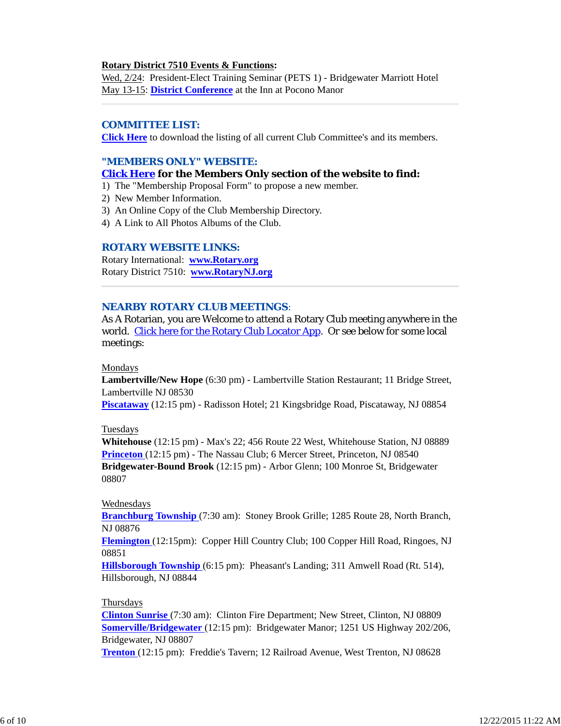#### **Rotary District 7510 Events & Functions:**

Wed, 2/24: President-Elect Training Seminar (PETS 1) - Bridgewater Marriott Hotel May 13-15: **District Conference** at the Inn at Pocono Manor

## *COMMITTEE LIST:*

**Click Here** to download the listing of all current Club Committee's and its members.

#### *"MEMBERS ONLY" WEBSITE:*

#### **Click Here for the Members Only section of the website to find:**

- 1) The "Membership Proposal Form" to propose a new member.
- 2) New Member Information.
- 3) An Online Copy of the Club Membership Directory.
- 4) A Link to All Photos Albums of the Club.

#### *ROTARY WEBSITE LINKS:*

Rotary International: **www.Rotary.org** Rotary District 7510: **www.RotaryNJ.org**

#### *NEARBY ROTARY CLUB MEETINGS:*

As A Rotarian, you are Welcome to attend a Rotary Club meeting anywhere in the world. Click here for the Rotary Club Locator App. Or see below for some local meetings:

#### Mondays

**Lambertville/New Hope** (6:30 pm) - Lambertville Station Restaurant; 11 Bridge Street, Lambertville NJ 08530

**Piscataway** (12:15 pm) - Radisson Hotel; 21 Kingsbridge Road, Piscataway, NJ 08854

#### Tuesdays

**Whitehouse** (12:15 pm) - Max's 22; 456 Route 22 West, Whitehouse Station, NJ 08889 **Princeton** (12:15 pm) - The Nassau Club; 6 Mercer Street, Princeton, NJ 08540 **Bridgewater-Bound Brook** (12:15 pm) - Arbor Glenn; 100 Monroe St, Bridgewater 08807

#### Wednesdays

**Branchburg Township** (7:30 am): Stoney Brook Grille; 1285 Route 28, North Branch, NJ 08876

**Flemington** (12:15pm): Copper Hill Country Club; 100 Copper Hill Road, Ringoes, NJ 08851

**Hillsborough Township** (6:15 pm): Pheasant's Landing; 311 Amwell Road (Rt. 514), Hillsborough, NJ 08844

#### Thursdays

**Clinton Sunrise** (7:30 am): Clinton Fire Department; New Street, Clinton, NJ 08809 **Somerville/Bridgewater** (12:15 pm): Bridgewater Manor; 1251 US Highway 202/206, Bridgewater, NJ 08807

**Trenton** (12:15 pm): Freddie's Tavern; 12 Railroad Avenue, West Trenton, NJ 08628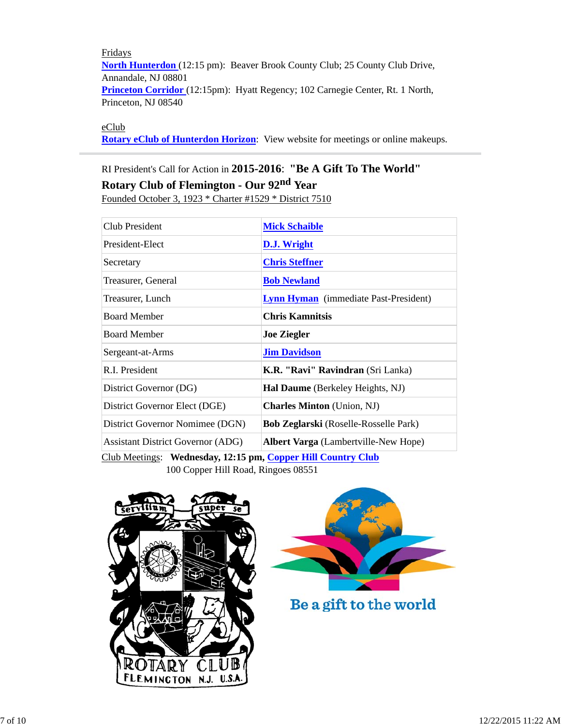Fridays **North Hunterdon** (12:15 pm): Beaver Brook County Club; 25 County Club Drive, Annandale, NJ 08801 **Princeton Corridor** (12:15pm): Hyatt Regency; 102 Carnegie Center, Rt. 1 North, Princeton, NJ 08540

#### eClub

**Rotary eClub of Hunterdon Horizon**: View website for meetings or online makeups.

# RI President's Call for Action in **2015-2016**: **"Be A Gift To The World" Rotary Club of Flemington - Our 92nd Year** Founded October 3, 1923 \* Charter #1529 \* District 7510

| Club President                           | <b>Mick Schaible</b>                                   |  |
|------------------------------------------|--------------------------------------------------------|--|
| President-Elect                          | D.J. Wright                                            |  |
| Secretary                                | <b>Chris Steffner</b>                                  |  |
| Treasurer, General                       | <b>Bob Newland</b>                                     |  |
| Treasurer, Lunch                         | <b>Lynn Hyman</b> (immediate Past-President)           |  |
| <b>Board Member</b>                      | <b>Chris Kamnitsis</b>                                 |  |
| <b>Board Member</b>                      | <b>Joe Ziegler</b>                                     |  |
| Sergeant-at-Arms                         | <b>Jim Davidson</b>                                    |  |
| R.I. President                           | K.R. "Ravi" Ravindran (Sri Lanka)                      |  |
| District Governor (DG)                   | Hal Daume (Berkeley Heights, NJ)                       |  |
| District Governor Elect (DGE)            | <b>Charles Minton</b> (Union, NJ)                      |  |
| District Governor Nomimee (DGN)          | <b>Bob Zeglarski</b> (Roselle-Rosselle Park)           |  |
| <b>Assistant District Governor (ADG)</b> | <b>Albert Varga</b> (Lambertville-New Hope)            |  |
| $\alpha$ iin amin'ny iona am             | $TT^{\prime\prime}$ $\alpha$ $\beta$ $\alpha$ $\alpha$ |  |

Club Meetings: **Wednesday, 12:15 pm, Copper Hill Country Club** 100 Copper Hill Road, Ringoes 08551





Be a gift to the world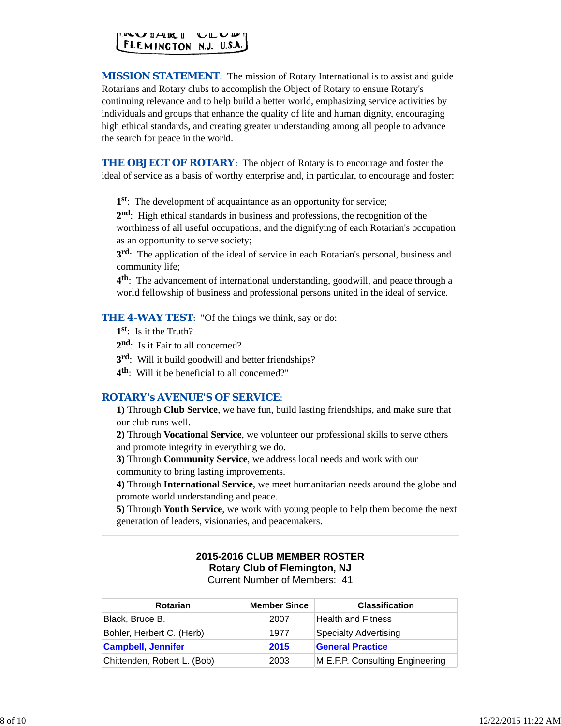

*MISSION STATEMENT*: The mission of Rotary International is to assist and guide Rotarians and Rotary clubs to accomplish the Object of Rotary to ensure Rotary's continuing relevance and to help build a better world, emphasizing service activities by individuals and groups that enhance the quality of life and human dignity, encouraging high ethical standards, and creating greater understanding among all people to advance the search for peace in the world.

**THE OBJECT OF ROTARY:** The object of Rotary is to encourage and foster the ideal of service as a basis of worthy enterprise and, in particular, to encourage and foster:

**1st**: The development of acquaintance as an opportunity for service;

**2nd**: High ethical standards in business and professions, the recognition of the worthiness of all useful occupations, and the dignifying of each Rotarian's occupation as an opportunity to serve society;

**3rd**: The application of the ideal of service in each Rotarian's personal, business and community life;

**4th**: The advancement of international understanding, goodwill, and peace through a world fellowship of business and professional persons united in the ideal of service.

**THE 4-WAY TEST:** "Of the things we think, say or do:

- **1st**: Is it the Truth?
- 2<sup>nd</sup>: Is it Fair to all concerned?
- **3rd**: Will it build goodwill and better friendships?
- **4th**: Will it be beneficial to all concerned?"

#### *ROTARY's AVENUE'S OF SERVICE*:

**1)** Through **Club Service**, we have fun, build lasting friendships, and make sure that our club runs well.

**2)** Through **Vocational Service**, we volunteer our professional skills to serve others and promote integrity in everything we do.

**3)** Through **Community Service**, we address local needs and work with our community to bring lasting improvements.

**4)** Through **International Service**, we meet humanitarian needs around the globe and promote world understanding and peace.

**5)** Through **Youth Service**, we work with young people to help them become the next generation of leaders, visionaries, and peacemakers.

## **2015-2016 CLUB MEMBER ROSTER Rotary Club of Flemington, NJ**

Current Number of Members: 41

| <b>Rotarian</b>             | <b>Member Since</b> | <b>Classification</b>           |
|-----------------------------|---------------------|---------------------------------|
| Black, Bruce B.             | 2007                | Health and Fitness              |
| Bohler, Herbert C. (Herb)   | 1977                | Specialty Advertising           |
| <b>Campbell, Jennifer</b>   | 2015                | <b>General Practice</b>         |
| Chittenden, Robert L. (Bob) | 2003                | M.E.F.P. Consulting Engineering |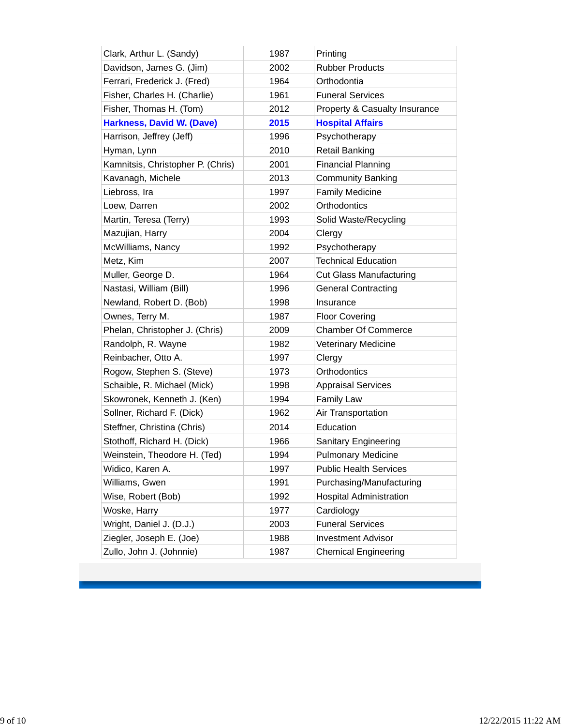| Clark, Arthur L. (Sandy)          | 1987 | Printing                       |
|-----------------------------------|------|--------------------------------|
| Davidson, James G. (Jim)          | 2002 | <b>Rubber Products</b>         |
| Ferrari, Frederick J. (Fred)      | 1964 | Orthodontia                    |
| Fisher, Charles H. (Charlie)      | 1961 | <b>Funeral Services</b>        |
| Fisher, Thomas H. (Tom)           | 2012 | Property & Casualty Insurance  |
| <b>Harkness, David W. (Dave)</b>  | 2015 | <b>Hospital Affairs</b>        |
| Harrison, Jeffrey (Jeff)          | 1996 | Psychotherapy                  |
| Hyman, Lynn                       | 2010 | <b>Retail Banking</b>          |
| Kamnitsis, Christopher P. (Chris) | 2001 | <b>Financial Planning</b>      |
| Kavanagh, Michele                 | 2013 | <b>Community Banking</b>       |
| Liebross, Ira                     | 1997 | <b>Family Medicine</b>         |
| Loew, Darren                      | 2002 | Orthodontics                   |
| Martin, Teresa (Terry)            | 1993 | Solid Waste/Recycling          |
| Mazujian, Harry                   | 2004 | Clergy                         |
| McWilliams, Nancy                 | 1992 | Psychotherapy                  |
| Metz, Kim                         | 2007 | <b>Technical Education</b>     |
| Muller, George D.                 | 1964 | <b>Cut Glass Manufacturing</b> |
| Nastasi, William (Bill)           | 1996 | <b>General Contracting</b>     |
| Newland, Robert D. (Bob)          | 1998 | Insurance                      |
| Ownes, Terry M.                   | 1987 | <b>Floor Covering</b>          |
| Phelan, Christopher J. (Chris)    | 2009 | <b>Chamber Of Commerce</b>     |
| Randolph, R. Wayne                | 1982 | <b>Veterinary Medicine</b>     |
| Reinbacher, Otto A.               | 1997 | Clergy                         |
| Rogow, Stephen S. (Steve)         | 1973 | Orthodontics                   |
| Schaible, R. Michael (Mick)       | 1998 | <b>Appraisal Services</b>      |
| Skowronek, Kenneth J. (Ken)       | 1994 | <b>Family Law</b>              |
| Sollner, Richard F. (Dick)        | 1962 | Air Transportation             |
| Steffner, Christina (Chris)       | 2014 | Education                      |
| Stothoff, Richard H. (Dick)       | 1966 | Sanitary Engineering           |
| Weinstein, Theodore H. (Ted)      | 1994 | <b>Pulmonary Medicine</b>      |
| Widico, Karen A.                  | 1997 | <b>Public Health Services</b>  |
| Williams, Gwen                    | 1991 | Purchasing/Manufacturing       |
| Wise, Robert (Bob)                | 1992 | <b>Hospital Administration</b> |
| Woske, Harry                      | 1977 | Cardiology                     |
| Wright, Daniel J. (D.J.)          | 2003 | <b>Funeral Services</b>        |
| Ziegler, Joseph E. (Joe)          | 1988 | <b>Investment Advisor</b>      |
| Zullo, John J. (Johnnie)          | 1987 | <b>Chemical Engineering</b>    |